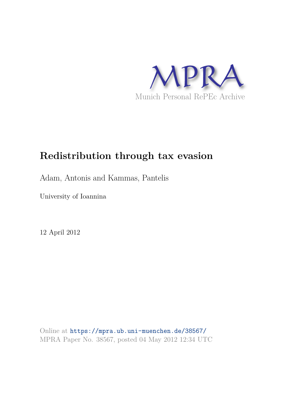

# **Redistribution through tax evasion**

Adam, Antonis and Kammas, Pantelis

University of Ioannina

12 April 2012

Online at https://mpra.ub.uni-muenchen.de/38567/ MPRA Paper No. 38567, posted 04 May 2012 12:34 UTC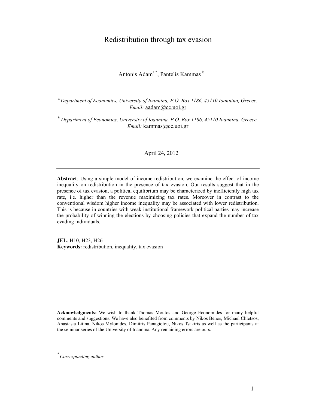# Redistribution through tax evasion

Antonis Adam<sup>a,\*</sup>, Pantelis Kammas <sup>b</sup>

<sup>a</sup>*Department of Economics, University of Ioannina, P.O. Box 1186, 45110 Ioannina, Greece. Email:* aadam@cc.uoi.gr

*b Department of Economics, University of Ioannina, P.O. Box 1186, 45110 Ioannina, Greece. Email:* kammas@cc.uoi.gr

April 24, 2012

**Abstract**: Using a simple model of income redistribution, we examine the effect of income inequality on redistribution in the presence of tax evasion. Our results suggest that in the presence of tax evasion, a political equilibrium may be characterized by inefficiently high tax rate, i.e. higher than the revenue maximizing tax rates. Moreover in contrast to the conventional wisdom higher income inequality may be associated with lower redistribution. This is because in countries with weak institutional framework political parties may increase the probability of winning the elections by choosing policies that expand the number of tax evading individuals.

**JEL**: H10, H23, H26 **Keywords:** redistribution, inequality, tax evasion

**Acknowledgments:** We wish to thank Thomas Moutos and George Economides for many helpful comments and suggestions. We have also benefited from comments by Nikos Benos, Michael Chletsos, Anastasia Litina, Nikos Mylonides, Dimitris Panagiotou, Nikos Tsakiris as well as the participants at the seminar series of the University of Ioannina Any remaining errors are ours.

*\* Corresponding author.*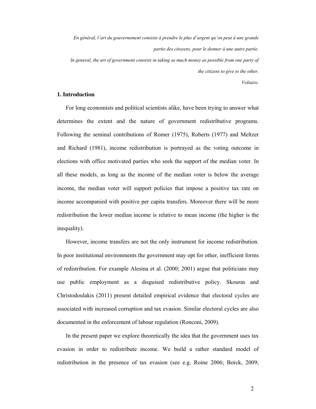*En général, l'art du gouvernement consiste à prendre le plus d'argent qu'on peut à une grande partie des citoyens, pour le donner à une autre partie. In general, the art of government consists in taking as much money as possible from one party of the citizens to give to the other.* 

*Voltaire.* 

### **1. Introduction**

For long economists and political scientists alike, have been trying to answer what determines the extent and the nature of government redistributive programs. Following the seminal contributions of Romer (1975), Roberts (1977) and Meltzer and Richard (1981), income redistribution is portrayed as the voting outcome in elections with office motivated parties who seek the support of the median voter. In all these models, as long as the income of the median voter is below the average income, the median voter will support policies that impose a positive tax rate on income accompanied with positive per capita transfers. Moreover there will be more redistribution the lower median income is relative to mean income (the higher is the inequality).

However, income transfers are not the only instrument for income redistribution. In poor institutional environments the government may opt for other, inefficient forms of redistribution. For example Alesina et al. (2000; 2001) argue that politicians may use public employment as a disguised redistributive policy. Skouras and Christodoulakis (2011) present detailed empirical evidence that electoral cycles are associated with increased corruption and tax evasion. Similar electoral cycles are also documented in the enforcement of labour regulation (Ronconi, 2009).

In the present paper we explore theoretically the idea that the government uses tax evasion in order to redistribute income. We build a rather standard model of redistribution in the presence of tax evasion (see e.g. Roine 2006; Borck, 2009;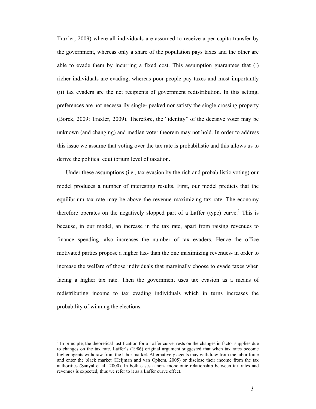Traxler, 2009) where all individuals are assumed to receive a per capita transfer by the government, whereas only a share of the population pays taxes and the other are able to evade them by incurring a fixed cost. This assumption guarantees that (i) richer individuals are evading, whereas poor people pay taxes and most importantly (ii) tax evaders are the net recipients of government redistribution. In this setting, preferences are not necessarily single- peaked nor satisfy the single crossing property (Borck, 2009; Traxler, 2009). Therefore, the "identity" of the decisive voter may be unknown (and changing) and median voter theorem may not hold. In order to address this issue we assume that voting over the tax rate is probabilistic and this allows us to derive the political equilibrium level of taxation.

Under these assumptions (i.e., tax evasion by the rich and probabilistic voting) our model produces a number of interesting results. First, our model predicts that the equilibrium tax rate may be above the revenue maximizing tax rate. The economy therefore operates on the negatively slopped part of a Laffer (type) curve.<sup>1</sup> This is because, in our model, an increase in the tax rate, apart from raising revenues to finance spending, also increases the number of tax evaders. Hence the office motivated parties propose a higher tax- than the one maximizing revenues- in order to increase the welfare of those individuals that marginally choose to evade taxes when facing a higher tax rate. Then the government uses tax evasion as a means of redistributing income to tax evading individuals which in turns increases the probability of winning the elections.

 $\overline{a}$ 

 $<sup>1</sup>$  In principle, the theoretical justification for a Laffer curve, rests on the changes in factor supplies due</sup> to changes on the tax rate. Laffer's (1986) original argument suggested that when tax rates become higher agents withdraw from the labor market. Alternatively agents may withdraw from the labor force and enter the black market (Heijman and van Ophem, 2005) or disclose their income from the tax authorities (Sanyal et al., 2000). In both cases a non- monotonic relationship between tax rates and revenues is expected, thus we refer to it as a Laffer curve effect.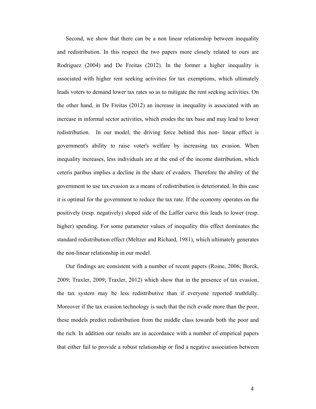Second, we show that there can be a non linear relationship between inequality and redistribution. In this respect the two papers more closely related to ours are Rodriguez (2004) and De Freitas (2012). In the former a higher inequality is associated with higher rent seeking activities for tax exemptions, which ultimately leads voters to demand lower tax rates so as to mitigate the rent seeking activities. On the other hand, in De Freitas (2012) an increase in inequality is associated with an increase in informal sector activities, which erodes the tax base and may lead to lower redistribution. In our model, the driving force behind this non- linear effect is government's ability to raise voter's welfare by increasing tax evasion. When inequality increases, less individuals are at the end of the income distribution, which ceteris paribus implies a decline in the share of evaders. Therefore the ability of the government to use tax evasion as a means of redistribution is deteriorated. In this case it is optimal for the government to reduce the tax rate. If the economy operates on the positively (resp. negatively) sloped side of the Laffer curve this leads to lower (resp. higher) spending. For some parameter values of inequality this effect dominates the standard redistribution effect (Meltzer and Richard, 1981), which ultimately generates the non-linear relationship in our model.

Our findings are consistent with a number of recent papers (Roine, 2006; Borck, 2009; Traxler, 2009; Traxler, 2012) which show that in the presence of tax evasion, the tax system may be less redistributive than if everyone reported truthfully. Moreover if the tax evasion technology is such that the rich evade more than the poor, these models predict redistribution from the middle class towards both the poor and the rich. In addition our results are in accordance with a number of empirical papers that either fail to provide a robust relationship or find a negative association between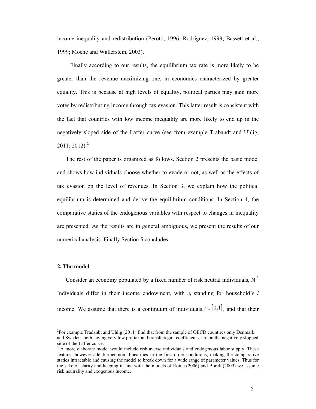income inequality and redistribution (Perotti, 1996; Rodriguez, 1999; Bassett et al., 1999; Moene and Wallerstein, 2003).

 Finally according to our results, the equilibrium tax rate is more likely to be greater than the revenue maximizing one, in economies characterized by greater equality. This is because at high levels of equality, political parties may gain more votes by redistributing income through tax evasion. This latter result is consistent with the fact that countries with low income inequality are more likely to end up in the negatively sloped side of the Laffer curve (see from example Trabandt and Uhlig,  $2011; 2012$ <sup>2</sup>

The rest of the paper is organized as follows. Section 2 presents the basic model and shows how individuals choose whether to evade or not, as well as the effects of tax evasion on the level of revenues. In Section 3, we explain how the political equilibrium is determined and derive the equilibrium conditions. In Section 4, the comparative statics of the endogenous variables with respect to changes in inequality are presented. As the results are in general ambiguous, we present the results of our numerical analysis. Finally Section 5 concludes.

#### **2. The model**

 $\overline{\phantom{a}}$ 

Consider an economy populated by a fixed number of risk neutral individuals,  $N<sup>3</sup>$ Individuals differ in their income endowment, with  $e_i$  standing for household's  $i$ income. We assume that there is a continuum of individuals,  $i \in [0,1]$ , and that their

 $2^2$ For example Tradanbt and Uhlig (2011) find that from the sample of OECD countires only Denmark and Sweden- both having very low pre-tax and transfers gini coefficients- are on the negatively slopped side of the Laffer curve.

 $3$  A more elaborate model would include risk averse individuals and endogenous labor supply. These features however add further non- linearities in the first order conditions, making the comparative statics intractable and causing the model to break down for a wide range of parameter values. Thus for the sake of clarity and keeping in line with the models of Roine (2006) and Borck (2009) we assume risk neutrality and exogenous income.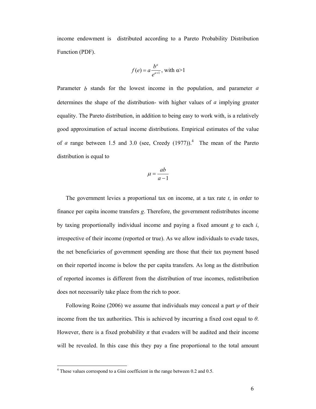income endowment is distributed according to a Pareto Probability Distribution Function (PDF).

$$
f(e) = a \frac{b^a}{e^{a+1}}, \text{ with } a > 1
$$

Parameter *b* stands for the lowest income in the population, and parameter *a* determines the shape of the distribution- with higher values of *a* implying greater equality. The Pareto distribution, in addition to being easy to work with, is a relatively good approximation of actual income distributions. Empirical estimates of the value of *a* range between 1.5 and 3.0 (see, Creedy  $(1977)$ ).<sup>4</sup> The mean of the Pareto distribution is equal to

$$
\mu = \frac{ab}{a-1}
$$

The government levies a proportional tax on income, at a tax rate *t*, in order to finance per capita income transfers *g*. Therefore, the government redistributes income by taxing proportionally individual income and paying a fixed amount *g* to each *i*, irrespective of their income (reported or true). As we allow individuals to evade taxes, the net beneficiaries of government spending are those that their tax payment based on their reported income is below the per capita transfers. As long as the distribution of reported incomes is different from the distribution of true incomes, redistribution does not necessarily take place from the rich to poor.

Following Roine (2006) we assume that individuals may conceal a part *ψ* of their income from the tax authorities. This is achieved by incurring a fixed cost equal to *θ*. However, there is a fixed probability  $\pi$  that evaders will be audited and their income will be revealed. In this case this they pay a fine proportional to the total amount

<sup>&</sup>lt;sup>4</sup> These values correspond to a Gini coefficient in the range between 0.2 and 0.5.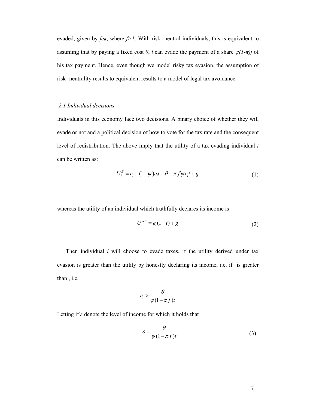evaded, given by *feit*, where *f>1*. With risk- neutral individuals, this is equivalent to assuming that by paying a fixed cost  $\theta$ , *i* can evade the payment of a share  $\psi(1-\pi)f$  of his tax payment. Hence, even though we model risky tax evasion, the assumption of risk- neutrality results to equivalent results to a model of legal tax avoidance.

## *2.1 Individual decisions*

Individuals in this economy face two decisions. A binary choice of whether they will evade or not and a political decision of how to vote for the tax rate and the consequent level of redistribution. The above imply that the utility of a tax evading individual *i* can be written as:

$$
U_i^E = e_i - (1 - \psi)e_i t - \theta - \pi f \psi e_i t + g \tag{1}
$$

whereas the utility of an individual which truthfully declares its income is

$$
U_i^{NE} = e_i(1-t) + g \tag{2}
$$

Then individual *i* will choose to evade taxes, if the utility derived under tax evasion is greater than the utility by honestly declaring its income, i.e. if is greater than , i.e.

$$
e_i > \frac{\theta}{\psi(1 - \pi f)t}
$$

Letting if *ε* denote the level of income for which it holds that

$$
\varepsilon = \frac{\theta}{\psi(1 - \pi f)t} \tag{3}
$$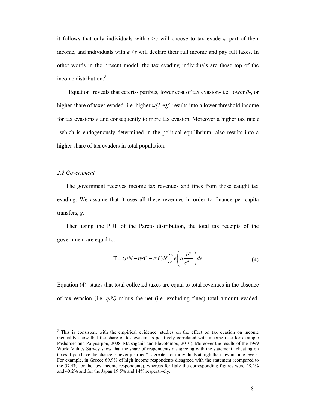it follows that only individuals with  $e_i \geq \varepsilon$  will choose to tax evade  $\psi$  part of their income, and individuals with  $e_i \leq \varepsilon$  will declare their full income and pay full taxes. In other words in the present model, the tax evading individuals are those top of the income distribution.<sup>5</sup>

 Equation reveals that ceteris- paribus, lower cost of tax evasion- i.e. lower *θ*-, or higher share of taxes evaded- i.e. higher *ψ(1-π)f*- results into a lower threshold income for tax evasions *ε* and consequently to more tax evasion. Moreover a higher tax rate *t* –which is endogenously determined in the political equilibrium- also results into a higher share of tax evaders in total population.

#### *2.2 Government*

The government receives income tax revenues and fines from those caught tax evading. We assume that it uses all these revenues in order to finance per capita transfers, *g*.

Then using the PDF of the Pareto distribution, the total tax receipts of the government are equal to:

$$
T = t\mu N - t\psi (1 - \pi f) N \int_{\varepsilon}^{\infty} e\left( a \frac{b^a}{e^{a+1}} \right) de \tag{4}
$$

Equation (4) states that total collected taxes are equal to total revenues in the absence of tax evasion (i.e.  $t\mu N$ ) minus the net (i.e. excluding fines) total amount evaded.

<sup>&</sup>lt;sup>5</sup> This is consistent with the empirical evidence; studies on the effect on tax evasion on income inequality show that the share of tax evasion is positively correlated with income (see for example Pashardes and Polycarpou, 2008; Matsaganis and Flevotomou, 2010). Moreover the results of the 1999 World Values Survey show that the share of respondents disagreeing with the statement "cheating on taxes if you have the chance is never justified" is greater for individuals at high than low income levels. For example, in Greece 69.9% of high income respondents disagreed with the statement (compared to the 57.4% for the low income respondents), whereas for Italy the corresponding figures were 48.2% and 40.2% and for the Japan 19.5% and 14% respectively.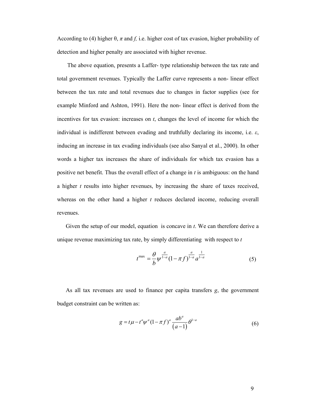According to (4) higher  $\theta$ ,  $\pi$  and f, i.e. higher cost of tax evasion, higher probability of detection and higher penalty are associated with higher revenue.

 The above equation, presents a Laffer- type relationship between the tax rate and total government revenues. Typically the Laffer curve represents a non- linear effect between the tax rate and total revenues due to changes in factor supplies (see for example Minford and Ashton, 1991). Here the non- linear effect is derived from the incentives for tax evasion: increases on *t*, changes the level of income for which the individual is indifferent between evading and truthfully declaring its income, i.e. *ε*, inducing an increase in tax evading individuals (see also Sanyal et al., 2000). In other words a higher tax increases the share of individuals for which tax evasion has a positive net benefit. Thus the overall effect of a change in *t* is ambiguous: on the hand a higher *t* results into higher revenues, by increasing the share of taxes received, whereas on the other hand a higher *t* reduces declared income, reducing overall revenues.

Given the setup of our model, equation is concave in *t*. We can therefore derive a unique revenue maximizing tax rate, by simply differentiating with respect to *t*

$$
t^{\max} = \frac{\theta}{b} \psi^{\frac{a}{1-a}} (1 - \pi f)^{\frac{a}{1-a}} a^{\frac{1}{1-a}}
$$
 (5)

As all tax revenues are used to finance per capita transfers *g*, the government budget constraint can be written as:

$$
g = t\mu - t^a \psi^a (1 - \pi f)^a \frac{ab^a}{(a - 1)} \theta^{1 - a}
$$
 (6)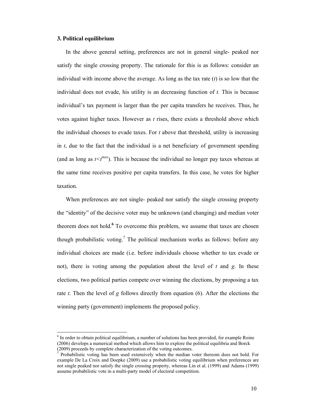#### **3. Political equilibrium**

 $\overline{1}$ 

In the above general setting, preferences are not in general single- peaked nor satisfy the single crossing property. The rationale for this is as follows: consider an individual with income above the average. As long as the tax rate (*t*) is so low that the individual does not evade, his utility is an decreasing function of *t.* This is because individual's tax payment is larger than the per capita transfers he receives. Thus, he votes against higher taxes. However as *t* rises, there exists a threshold above which the individual chooses to evade taxes. For *t* above that threshold, utility is increasing in *t*, due to the fact that the individual is a net beneficiary of government spending (and as long as  $t \le t^{max}$ ). This is because the individual no longer pay taxes whereas at the same time receives positive per capita transfers. In this case, he votes for higher taxation.

When preferences are not single- peaked nor satisfy the single crossing property the "identity" of the decisive voter may be unknown (and changing) and median voter theorem does not hold.<sup>6</sup> To overcome this problem, we assume that taxes are chosen though probabilistic voting.<sup>7</sup> The political mechanism works as follows: before any individual choices are made (i.e. before individuals choose whether to tax evade or not), there is voting among the population about the level of *t* and *g*. In these elections, two political parties compete over winning the elections, by proposing a tax rate *t*. Then the level of *g* follows directly from equation (6). After the elections the winning party (government) implements the proposed policy.

 $6$  In order to obtain political equilibrium, a number of solutions has been provided, for example Roine (2006) develops a numerical method which allows him to explore the political equilibria and Borck (2009) proceeds by complete characterization of the voting outcomes.

<sup>7</sup> Probabilistic voting has been used extensively when the median voter thereom does not hold. For example De La Croix and Doepke (2009) use a probabilistic voting equilibrium when preferences are not single peaked nor satisfy the single crossing property, whereas Lin et al. (1999) and Adams (1999) assume probabilistic vote in a multi-party model of electoral competition.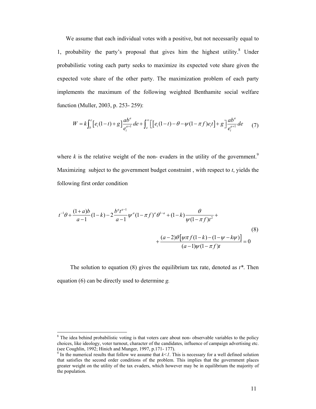We assume that each individual votes with a positive, but not necessarily equal to 1, probability the party's proposal that gives him the highest utility.<sup>8</sup> Under probabilistic voting each party seeks to maximize its expected vote share given the expected vote share of the other party. The maximization problem of each party implements the maximum of the following weighted Benthamite social welfare function (Muller, 2003, p. 253- 259):

$$
W = k \int_b^{\varepsilon} \left[ e_i (1-t) + g \right] \frac{ab^a}{e_i^{a+1}} \, de + \int_{\varepsilon}^{\infty} \left[ \left[ e_i (1-t) - \theta - \psi (1 - \pi f) e_i t \right] + g \right] \frac{ab^a}{e_i^{a+1}} \, de \tag{7}
$$

where  $k$  is the relative weight of the non- evaders in the utility of the government.<sup>9</sup> Maximizing subject to the government budget constraint , with respect to *t*, yields the following first order condition

$$
t^{-1}\theta + \frac{(1+a)b}{a-1}(1-k) - 2\frac{b^at^{a-1}}{a-1}\psi^a(1-\pi f)^a\theta^{1-a} + (1-k)\frac{\theta}{\psi(1-\pi f)t^2} + \frac{(a-2)\theta[\psi\pi f(1-k) - (1-\psi-k\psi)]}{(a-1)\psi(1-\pi f)t} = 0
$$
\n(8)

The solution to equation (8) gives the equilibrium tax rate, denoted as *t\**. Then equation (6) can be directly used to determine *g.* 

<sup>&</sup>lt;sup>8</sup> The idea behind probabilistic voting is that voters care about non- observable variables to the policy choices, like ideology, voter turnout, character of the candidates, influence of campaign advertising etc. (see Coughlin, 1992; Hinich and Munger, 1997, p.171- 177).

In the numerical results that follow we assume that  $k < 1$ . This is necessary for a well defined solution that satisfies the second order conditions of the problem. This implies that the government places greater weight on the utility of the tax evaders, which however may be in equilibrium the majority of the population.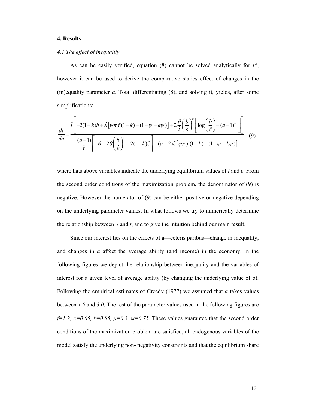#### **4. Results**

#### *4.1 The effect of inequality*

As can be easily verified, equation (8) cannot be solved analytically for *t\**, however it can be used to derive the comparative statics effect of changes in the (in)equality parameter *a*. Total differentiating (8), and solving it, yields, after some simplifications:

$$
\frac{dt}{da} = \frac{\hat{t}\left[-2(1-k)b + \hat{\varepsilon}\left[\psi\pi f(1-k) - (1-\psi-k\psi)\right] + 2\frac{\theta}{\hat{t}}\left(\frac{b}{\hat{\varepsilon}}\right)^{a}\left[\log\left(\frac{b}{\hat{\varepsilon}}\right) - (a-1)^{-1}\right]\right]}{\frac{(a-1)}{\hat{t}}\left[-\theta - 2\theta\left(\frac{b}{\hat{\varepsilon}}\right)^{a} - 2(1-k)\hat{\varepsilon}\right] - (a-2)\hat{\varepsilon}\left[\psi\pi f(1-k) - (1-\psi-k\psi)\right]} \tag{9}
$$

where hats above variables indicate the underlying equilibrium values of *t* and *ε*. From the second order conditions of the maximization problem, the denominator of (9) is negative. However the numerator of (9) can be either positive or negative depending on the underlying parameter values. In what follows we try to numerically determine the relationship between  $\alpha$  and  $t$ , and to give the intuition behind our main result.

Since our interest lies on the effects of a—ceteris paribus—change in inequality, and changes in *a* affect the average ability (and income) in the economy, in the following figures we depict the relationship between inequality and the variables of interest for a given level of average ability (by changing the underlying value of b). Following the empirical estimates of Creedy (1977) we assumed that *a* takes values between *1.5* and *3.0*. The rest of the parameter values used in the following figures are  $f=1.2$ ,  $\pi=0.05$ ,  $k=0.85$ ,  $\mu=0.3$ ,  $\psi=0.75$ . These values guarantee that the second order conditions of the maximization problem are satisfied, all endogenous variables of the model satisfy the underlying non- negativity constraints and that the equilibrium share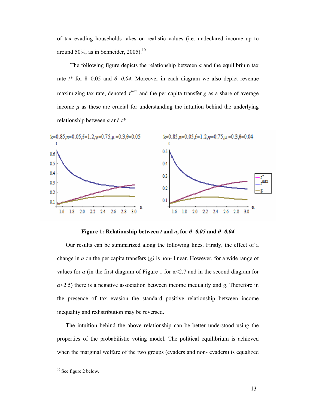of tax evading households takes on realistic values (i.e. undeclared income up to around 50%, as in Schneider,  $2005$ ).<sup>10</sup>

The following figure depicts the relationship between *a* and the equilibrium tax rate  $t^*$  for  $\theta$ =0.05 and  $\theta$ =0.04. Moreover in each diagram we also depict revenue maximizing tax rate, denoted  $t^{max}$  and the per capita transfer *g* as a share of average income  $\mu$  as these are crucial for understanding the intuition behind the underlying relationship between *a* and *t\** 



**Figure 1: Relationship between** *t* **and** *a***, for**  $\theta = 0.05$  **and**  $\theta = 0.04$ 

Our results can be summarized along the following lines. Firstly, the effect of a change in *a* on the per capita transfers (*g)* is non- linear. However, for a wide range of values for  $\alpha$  (in the first diagram of Figure 1 for  $\alpha \leq 2.7$  and in the second diagram for  $\alpha$ <2.5) there is a negative association between income inequality and *g*. Therefore in the presence of tax evasion the standard positive relationship between income inequality and redistribution may be reversed.

The intuition behind the above relationship can be better understood using the properties of the probabilistic voting model. The political equilibrium is achieved when the marginal welfare of the two groups (evaders and non- evaders) is equalized

 $\ddot{\phantom{a}}$ 

<sup>&</sup>lt;sup>10</sup> See figure 2 below.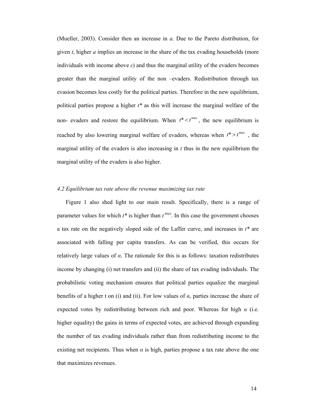(Mueller, 2003). Consider then an increase in *a*. Due to the Pareto distribution, for given *t*, higher *a* implies an increase in the share of the tax evading households (more individuals with income above *ε*) and thus the marginal utility of the evaders becomes greater than the marginal utility of the non –evaders. Redistribution through tax evasion becomes less costly for the political parties. Therefore in the new equilibrium, political parties propose a higher *t\** as this will increase the marginal welfare of the non- evaders and restore the equilibrium. When  $t^* < t^{\max}$ , the new equilibrium is reached by also lowering marginal welfare of evaders, whereas when  $t^* > t^{\max}$ , the marginal utility of the evaders is also increasing in  $t$  thus in the new equilibrium the marginal utility of the evaders is also higher.

#### *4.2 Equilibrium tax rate above the revenue maximizing tax rate*

Figure 1 also shed light to our main result. Specifically, there is a range of parameter values for which  $t^*$  is higher than  $t^{max}$ . In this case the government chooses a tax rate on the negatively sloped side of the Laffer curve, and increases in *t\** are associated with falling per capita transfers. As can be verified, this occurs for relatively large values of *α*. The rationale for this is as follows: taxation redistributes income by changing (i) net transfers and (ii) the share of tax evading individuals. The probabilistic voting mechanism ensures that political parties equalize the marginal benefits of a higher t on (i) and (ii). For low values of  $\alpha$ , parties increase the share of expected votes by redistributing between rich and poor. Whereas for high  $\alpha$  (i.e. higher equality) the gains in terms of expected votes, are achieved through expanding the number of tax evading individuals rather than from redistributing income to the existing net recipients. Thus when  $\alpha$  is high, parties propose a tax rate above the one that maximizes revenues.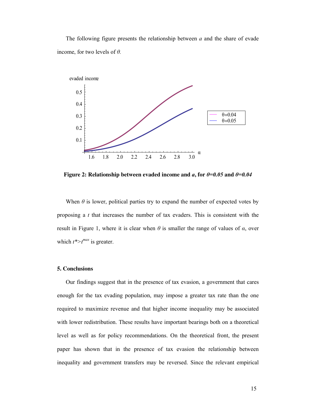The following figure presents the relationship between *a* and the share of evade income, for two levels of *θ.* 



**Figure 2: Relationship between evaded income and** *a***, for**  $\theta$ **=0.05 and**  $\theta$ **=0.04** 

When  $\theta$  is lower, political parties try to expand the number of expected votes by proposing a *t* that increases the number of tax evaders. This is consistent with the result in Figure 1, where it is clear when *θ* is smaller the range of values of *α*, over which  $t^*$  is greater.

#### **5. Conclusions**

Our findings suggest that in the presence of tax evasion, a government that cares enough for the tax evading population, may impose a greater tax rate than the one required to maximize revenue and that higher income inequality may be associated with lower redistribution. These results have important bearings both on a theoretical level as well as for policy recommendations. On the theoretical front, the present paper has shown that in the presence of tax evasion the relationship between inequality and government transfers may be reversed. Since the relevant empirical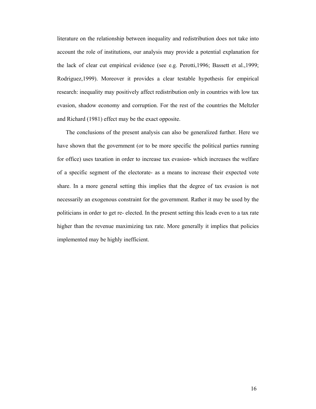literature on the relationship between inequality and redistribution does not take into account the role of institutions, our analysis may provide a potential explanation for the lack of clear cut empirical evidence (see e.g. Perotti,1996; Bassett et al.,1999; Rodriguez,1999). Moreover it provides a clear testable hypothesis for empirical research: inequality may positively affect redistribution only in countries with low tax evasion, shadow economy and corruption. For the rest of the countries the Meltzler and Richard (1981) effect may be the exact opposite.

The conclusions of the present analysis can also be generalized further. Here we have shown that the government (or to be more specific the political parties running for office) uses taxation in order to increase tax evasion- which increases the welfare of a specific segment of the electorate- as a means to increase their expected vote share. In a more general setting this implies that the degree of tax evasion is not necessarily an exogenous constraint for the government. Rather it may be used by the politicians in order to get re- elected. In the present setting this leads even to a tax rate higher than the revenue maximizing tax rate. More generally it implies that policies implemented may be highly inefficient.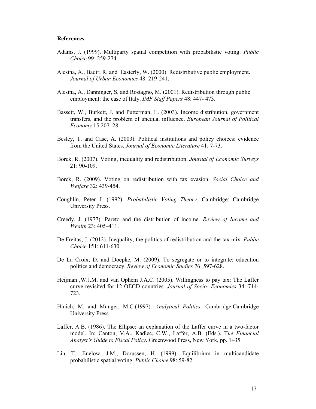#### **References**

- Adams, J. (1999). Multiparty spatial competition with probabilistic voting. *Public Choice* 99: 259-274.
- Alesina, A., Baqir, R. and Easterly, W. (2000). Redistributive public employment. *Journal of Urban Economics* 48: 219-241.
- Alesina, A., Danninger, S. and Rostagno, M. (2001). Redistribution through public employment: the case of Italy. *IMF Staff Papers* 48: 447- 473.
- Bassett, W., Burkett, J. and Putterman, L. (2003). Income distribution, government transfers, and the problem of unequal influence. *European Journal of Political Economy* 15:207–28.
- Besley, T. and Case, A. (2003). Political institutions and policy choices: evidence from the United States. *Journal of Economic Literature* 41: 7-73.
- Borck, R. (2007). Voting, inequality and redistribution. *Journal of Economic Surveys* 21: 90-109.
- Borck, R. (2009). Voting on redistribution with tax evasion. *Social Choice and Welfare* 32: 439-454.
- Coughlin, Peter J. (1992). *Probabilistic Voting Theory*. Cambridge: Cambridge University Press.
- Creedy, J. (1977). Pareto and the distribution of income. *Review of Income and Wealth* 23: 405–411.
- De Freitas, J. (2012). Inequality, the politics of redistribution and the tax mix. *Public Choice* 151: 611-630.
- De La Croix, D. and Doepke, M. (2009). To segregate or to integrate: education politics and democracy. *Review of Economic Studies* 76: 597-628.
- Heijman ,W.J.M. and van Ophem J.A.C. (2005). Willingness to pay tax: The Laffer curve revisited for 12 OECD countries. *Journal of Socio- Economics* 34: 714- 723.
- Hinich, M. and Munger, M.C.(1997). *Analytical Politics*. Cambridge:Cambridge University Press.
- Laffer, A.B. (1986). The Ellipse: an explanation of the Laffer curve in a two-factor model. In: Canton, V.A., Kadlec, C.W., Laffer, A.B. (Eds.), T*he Financial Analyst's Guide to Fiscal Policy*. Greenwood Press, New York, pp. 1–35.
- Lin, T., Enelow, J.M., Dorussen, H. (1999). Equilibrium in multicandidate probabilistic spatial voting. *Public Choice* 98: 59-82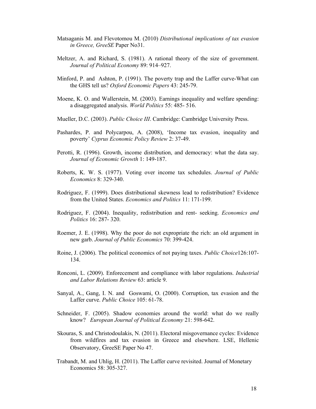- Matsaganis M. and Flevotomou M. (2010) *Distributional implications of tax evasion in Greece, GreeSE* Paper No31.
- Meltzer, A. and Richard, S. (1981). A rational theory of the size of government. *Journal of Political Economy* 89: 914–927.
- Minford, P. and Ashton, P. (1991). The poverty trap and the Laffer curve-What can the GHS tell us? *Oxford Economic Papers* 43: 245-79.
- Moene, K. O. and Wallerstein, M. (2003). Earnings inequality and welfare spending: a disaggregated analysis. *World Politics* 55: 485- 516.
- Mueller, D.C. (2003). *Public Choice III*. Cambridge: Cambridge University Press.
- Pashardes, P. and Polycarpou, A. (2008), 'Income tax evasion, inequality and poverty' *Cyprus Economic Policy Review* 2: 37-49.
- Perotti, R. (1996). Growth, income distribution, and democracy: what the data say. *Journal of Economic Growth* 1: 149-187.
- Roberts, K. W. S. (1977). Voting over income tax schedules. *Journal of Public Economics* 8: 329-340.
- Rodriguez, F. (1999). Does distributional skewness lead to redistribution? Evidence from the United States. *Economics and Politics* 11: 171-199.
- Rodriguez, F. (2004). Inequality, redistribution and rent- seeking. *Economics and Politics* 16: 287- 320.
- Roemer, J. E. (1998). Why the poor do not expropriate the rich: an old argument in new garb. *Journal of Public Economics* 70: 399-424.
- Roine, J. (2006). The political economics of not paying taxes. *Public Choice*126:107- 134.
- Ronconi, L. (2009). Enforecement and compliance with labor regulations. *Industrial and Labor Relations Review* 63: article 9.
- Sanyal, A., Gang, I. N. and Goswami, O. (2000). Corruption, tax evasion and the Laffer curve. *Public Choice* 105: 61-78.
- Schneider, F. (2005). Shadow economies around the world: what do we really know? *European Journal of Political Economy* 21: 598-642.
- Skouras, S. and Christodoulakis, N. (2011). Electoral misgovernance cycles: Evidence from wildfires and tax evasion in Greece and elsewhere. LSE, Hellenic Observatory, GreeSE Paper No 47.
- Trabandt, M. and Uhlig, H. (2011). The Laffer curve revisited. Journal of Monetary Economics 58: 305-327.